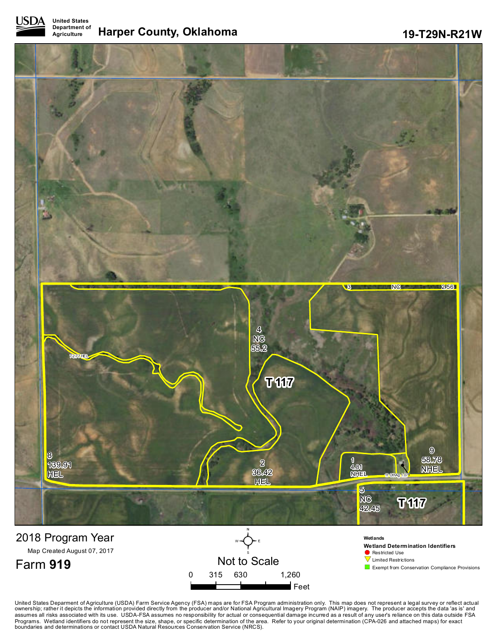



United States Deparment of Agriculture (USDA) Farm Service Agency (FSA) maps are for FSA Program administration only. This map does not represent a legal survey or reflect actual<br>ownership; rather it depicts the informatio